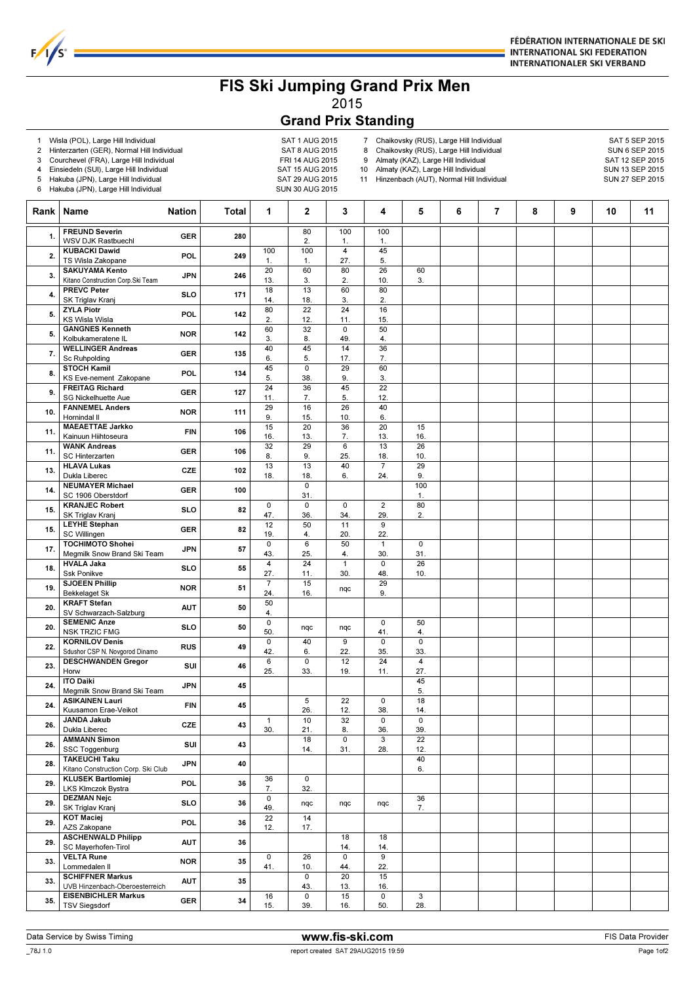

## FIS Ski Jumping Grand Prix Men 2015

## Grand Prix Standing

1 Wisla (POL), Large Hill Individual and the same same SAT 1 AUG 2015<br>2 Hinterzarten (GER), Normal Hill Individual SAT 8 AUG 2015

 $F/1/s$ 

- 2 Hinterzarten (GER), Normal Hill Individual SAT 8 AUG 2015<br>3 Courchevel (FRA), Large Hill Individual FRI 14 AUG 2015
- Courchevel (FRA), Large Hill Individual

4 Einsiedeln (SUI), Large Hill Individual SAT 15 AUG 2015

5 Hakuba (JPN), Large Hill Individual SAT 29 AUG 2015

6 Hakuba (JPN), Large Hill Individual SUN 30 AUG 2015

- 7 Chaikovsky (RUS), Large Hill Individual SAT 5 SEP 2015<br>8 Chaikovsky (RUS), Large Hill Individual SUN 6 SEP 2015 Chaikovsky (RUS), Large Hill Individual SUN 6 SEP 2015<br>Almaty (KAZ), Large Hill Individual Sun SAT 12 SEP 2015
- 9 Almaty (KAZ), Large Hill Individual

10 Almaty (KAZ), Large Hill Individual SUN 13 SEP 2015

11 Hinzenbach (AUT), Normal Hill Individual SUN 27 SEP 2015

| Rank | Name                                                         | <b>Nation</b> | Total | 1                     | $\mathbf{2}$       | 3                             | 4                     | 5                              | 6 | 7 | 8 | 9 | 10 | 11 |
|------|--------------------------------------------------------------|---------------|-------|-----------------------|--------------------|-------------------------------|-----------------------|--------------------------------|---|---|---|---|----|----|
| 1.   | <b>FREUND Severin</b>                                        | <b>GER</b>    | 280   |                       | 80                 | 100                           | 100                   |                                |   |   |   |   |    |    |
| 2.   | WSV DJK Rastbuechl<br><b>KUBACKI Dawid</b>                   | POL           | 249   | 100                   | 2.<br>100          | 1.<br>$\overline{\mathbf{4}}$ | 1.<br>45              |                                |   |   |   |   |    |    |
|      | TS Wisla Zakopane<br><b>SAKUYAMA Kento</b>                   |               |       | 1.<br>20              | 1.<br>60           | 27.<br>80                     | 5.<br>26              | 60                             |   |   |   |   |    |    |
| 3.   | Kitano Construction Corp.Ski Team                            | <b>JPN</b>    | 246   | 13.                   | 3.                 | 2.                            | 10.                   | 3.                             |   |   |   |   |    |    |
| 4.   | <b>PREVC Peter</b><br>SK Triglav Kranj                       | <b>SLO</b>    | 171   | 18<br>14.             | 13<br>18.          | 60<br>3.                      | 80<br>2.              |                                |   |   |   |   |    |    |
| 5.   | <b>ZYLA Piotr</b>                                            | POL           | 142   | 80                    | $\overline{22}$    | 24                            | 16                    |                                |   |   |   |   |    |    |
|      | <b>KS Wisla Wisla</b><br><b>GANGNES Kenneth</b>              |               |       | 2.<br>60              | 12.<br>32          | 11.<br>$\mathsf 0$            | 15.<br>50             |                                |   |   |   |   |    |    |
| 5.   | Kolbukameratene IL                                           | <b>NOR</b>    | 142   | 3.                    | 8.                 | 49.                           | 4.                    |                                |   |   |   |   |    |    |
| 7.   | <b>WELLINGER Andreas</b><br>Sc Ruhpolding                    | <b>GER</b>    | 135   | 40<br>6.              | 45<br>5.           | 14<br>17.                     | $\overline{36}$<br>7. |                                |   |   |   |   |    |    |
| 8.   | <b>STOCH Kamil</b>                                           | POL           | 134   | 45                    | $\mathsf 0$        | 29                            | 60                    |                                |   |   |   |   |    |    |
|      | KS Eve-nement Zakopane<br><b>FREITAG Richard</b>             |               |       | 5.<br>24              | 38.<br>36          | 9.<br>45                      | 3.<br>22              |                                |   |   |   |   |    |    |
| 9.   | <b>SG Nickelhuette Aue</b>                                   | <b>GER</b>    | 127   | 11.                   | 7.                 | 5.                            | 12.                   |                                |   |   |   |   |    |    |
| 10.  | <b>FANNEMEL Anders</b><br>Hornindal II                       | <b>NOR</b>    | 111   | 29<br>9.              | 16<br>15.          | 26<br>10.                     | 40<br>6.              |                                |   |   |   |   |    |    |
| 11.  | <b>MAEAETTAE Jarkko</b>                                      | <b>FIN</b>    | 106   | 15                    | $\overline{20}$    | 36                            | $\overline{20}$       | 15                             |   |   |   |   |    |    |
|      | Kainuun Hiihtoseura<br><b>WANK Andreas</b>                   |               |       | 16.<br>32             | 13.<br>29          | 7.<br>$6\overline{6}$         | 13.<br>13             | 16.<br>26                      |   |   |   |   |    |    |
| 11.  | SC Hinterzarten                                              | <b>GER</b>    | 106   | 8.                    | 9.                 | 25.                           | 18.                   | 10.                            |   |   |   |   |    |    |
| 13.  | <b>HLAVA Lukas</b><br>Dukla Liberec                          | CZE           | 102   | 13<br>18.             | 13<br>18.          | 40<br>6.                      | $\overline{7}$<br>24. | 29<br>9.                       |   |   |   |   |    |    |
| 14.  | <b>NEUMAYER Michael</b>                                      | <b>GER</b>    | 100   |                       | $\mathbf 0$        |                               |                       | 100                            |   |   |   |   |    |    |
|      | SC 1906 Oberstdorf<br><b>KRANJEC Robert</b>                  |               |       | 0                     | 31.<br>$\mathsf 0$ | $\overline{0}$                | $\overline{2}$        | 1.<br>80                       |   |   |   |   |    |    |
| 15.  | SK Triglav Kranj                                             | <b>SLO</b>    | 82    | 47.                   | 36.                | 34.                           | 29.                   | 2.                             |   |   |   |   |    |    |
| 15.  | <b>LEYHE Stephan</b><br><b>SC Willingen</b>                  | <b>GER</b>    | 82    | 12<br>19.             | 50<br>4.           | 11<br>20.                     | 9<br>22.              |                                |   |   |   |   |    |    |
| 17.  | <b>TOCHIMOTO Shohei</b>                                      | <b>JPN</b>    | 57    | $\mathsf 0$           | $\overline{6}$     | 50                            | $\mathbf{1}$          | $\mathbf 0$                    |   |   |   |   |    |    |
|      | Megmilk Snow Brand Ski Team<br><b>HVALA Jaka</b>             |               |       | 43.<br>4              | 25.<br>24          | 4.<br>$\mathbf{1}$            | 30.<br>$\mathbf 0$    | 31.<br>26                      |   |   |   |   |    |    |
| 18.  | Ssk Ponikve<br><b>SJOEEN Phillip</b>                         | <b>SLO</b>    | 55    | 27.                   | 11.<br>15          | 30.                           | 48.                   | 10.                            |   |   |   |   |    |    |
| 19.  | <b>Bekkelaget Sk</b>                                         | <b>NOR</b>    | 51    | $\overline{7}$<br>24. | 16.                | nqc                           | 29<br>9.              |                                |   |   |   |   |    |    |
| 20.  | <b>KRAFT Stefan</b><br>SV Schwarzach-Salzburg                | <b>AUT</b>    | 50    | 50                    |                    |                               |                       |                                |   |   |   |   |    |    |
| 20.  | <b>SEMENIC Anze</b>                                          | <b>SLO</b>    | 50    | 4.<br>0               |                    |                               | $\mathsf 0$           | 50                             |   |   |   |   |    |    |
|      | <b>NSK TRZIC FMG</b><br><b>KORNILOV Denis</b>                |               |       | 50.<br>$\mathsf 0$    | nqc<br>40          | nqc<br>9                      | 41.<br>$\mathbf 0$    | 4.<br>$\mathsf 0$              |   |   |   |   |    |    |
| 22.  | Sdushor CSP N. Novgorod Dinamo                               | <b>RUS</b>    | 49    | 42.                   | 6.                 | 22.                           | 35.                   | 33.                            |   |   |   |   |    |    |
| 23.  | <b>DESCHWANDEN Gregor</b><br>Horw                            | SUI           | 46    | 6<br>25.              | $\mathbf 0$<br>33. | 12<br>19.                     | 24<br>11.             | $\overline{\mathbf{4}}$<br>27. |   |   |   |   |    |    |
| 24.  | <b>ITO Daiki</b>                                             | <b>JPN</b>    | 45    |                       |                    |                               |                       | 45                             |   |   |   |   |    |    |
|      | Megmilk Snow Brand Ski Team<br><b>ASIKAINEN Lauri</b>        |               |       |                       | 5                  | 22                            | $\mathsf 0$           | 5.<br>18                       |   |   |   |   |    |    |
| 24.  | Kuusamon Erae-Veikot                                         | <b>FIN</b>    | 45    |                       | 26.                | 12.                           | 38.                   | 14.                            |   |   |   |   |    |    |
| 26.  | <b>JANDA Jakub</b><br>Dukla Liberec                          | CZE           | 43    | $\mathbf{1}$<br>30.   | 10<br>21.          | 32<br>8.                      | 0<br>36.              | 0<br>39.                       |   |   |   |   |    |    |
| 26.  | <b>AMMANN Simon</b>                                          | SUI           | 43    |                       | 18                 | $\mathsf 0$                   | 3                     | 22                             |   |   |   |   |    |    |
|      | SSC Toggenburg<br><b>TAKEUCHI Taku</b>                       |               |       |                       | 14.                | 31.                           | 28.                   | 12.<br>40                      |   |   |   |   |    |    |
| 28.  | Kitano Construction Corp. Ski Club                           | <b>JPN</b>    | 40    |                       |                    |                               |                       | 6.                             |   |   |   |   |    |    |
| 29.  | <b>KLUSEK Bartlomiej</b><br><b>LKS Klmczok Bystra</b>        | POL           | 36    | 36<br>7.              | $\mathbf 0$<br>32. |                               |                       |                                |   |   |   |   |    |    |
| 29.  | <b>DEZMAN Nejc</b>                                           | <b>SLO</b>    | 36    | 0                     | nqc                | nqc                           | nqc                   | 36                             |   |   |   |   |    |    |
|      | SK Triglav Kranj<br><b>KOT Maciej</b>                        |               |       | 49.<br>22             | 14                 |                               |                       | 7.                             |   |   |   |   |    |    |
| 29.  | AZS Zakopane                                                 | POL           | 36    | 12.                   | 17.                |                               |                       |                                |   |   |   |   |    |    |
| 29.  | <b>ASCHENWALD Philipp</b><br>SC Mayerhofen-Tirol             | <b>AUT</b>    | 36    |                       |                    | 18<br>14.                     | 18<br>14.             |                                |   |   |   |   |    |    |
| 33.  | <b>VELTA Rune</b>                                            | <b>NOR</b>    | 35    | $\mathbf 0$           | 26                 | 0                             | 9                     |                                |   |   |   |   |    |    |
|      | Lommedalen II<br><b>SCHIFFNER Markus</b>                     |               |       | 41.                   | 10.<br>$\mathsf 0$ | 44.<br>20                     | 22.<br>15             |                                |   |   |   |   |    |    |
| 33.  | UVB Hinzenbach-Oberoesterreich<br><b>EISENBICHLER Markus</b> | <b>AUT</b>    | 35    |                       | 43.                | 13.                           | 16.                   |                                |   |   |   |   |    |    |
| 35.  | <b>TSV Siegsdorf</b>                                         | GER           | 34    | 16<br>15.             | $\mathsf 0$<br>39. | 15<br>16.                     | $\pmb{0}$<br>50.      | 3<br>28.                       |   |   |   |   |    |    |

\_78J 1.0 report created SAT 29AUG2015 19:59